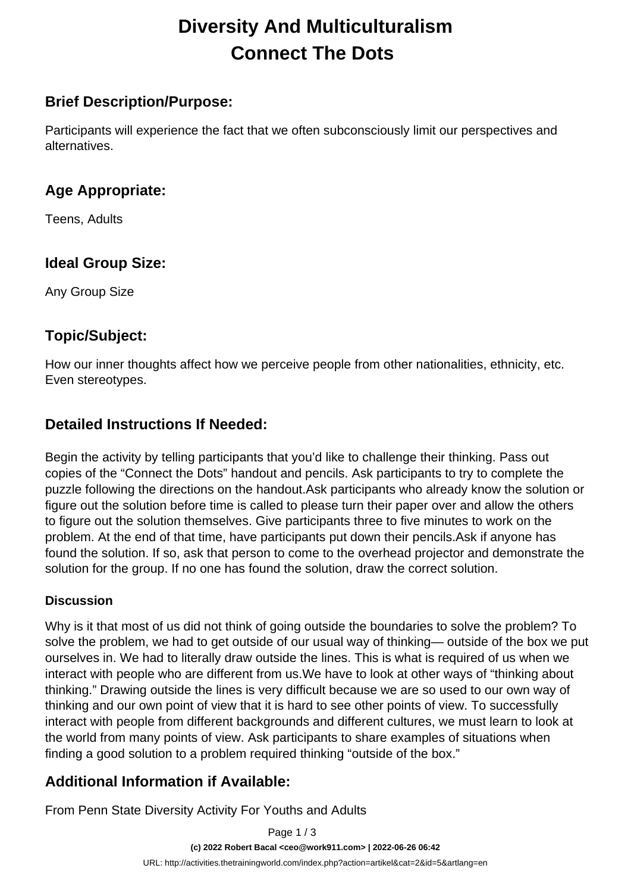# **Diversity And Multiculturalism Connect The Dots**

#### **Brief Description/Purpose:**

Participants will experience the fact that we often subconsciously limit our perspectives and alternatives.

#### **Age Appropriate:**

Teens, Adults

### **Ideal Group Size:**

Any Group Size

### **Topic/Subject:**

How our inner thoughts affect how we perceive people from other nationalities, ethnicity, etc. Even stereotypes.

### **Detailed Instructions If Needed:**

Begin the activity by telling participants that you'd like to challenge their thinking. Pass out copies of the "Connect the Dots" handout and pencils. Ask participants to try to complete the puzzle following the directions on the handout.Ask participants who already know the solution or figure out the solution before time is called to please turn their paper over and allow the others to figure out the solution themselves. Give participants three to five minutes to work on the problem. At the end of that time, have participants put down their pencils.Ask if anyone has found the solution. If so, ask that person to come to the overhead projector and demonstrate the solution for the group. If no one has found the solution, draw the correct solution.

#### **Discussion**

Why is it that most of us did not think of going outside the boundaries to solve the problem? To solve the problem, we had to get outside of our usual way of thinking— outside of the box we put ourselves in. We had to literally draw outside the lines. This is what is required of us when we interact with people who are different from us.We have to look at other ways of "thinking about thinking." Drawing outside the lines is very difficult because we are so used to our own way of thinking and our own point of view that it is hard to see other points of view. To successfully interact with people from different backgrounds and different cultures, we must learn to look at the world from many points of view. Ask participants to share examples of situations when finding a good solution to a problem required thinking "outside of the box."

### **Additional Information if Available:**

From Penn State Diversity Activity For Youths and Adults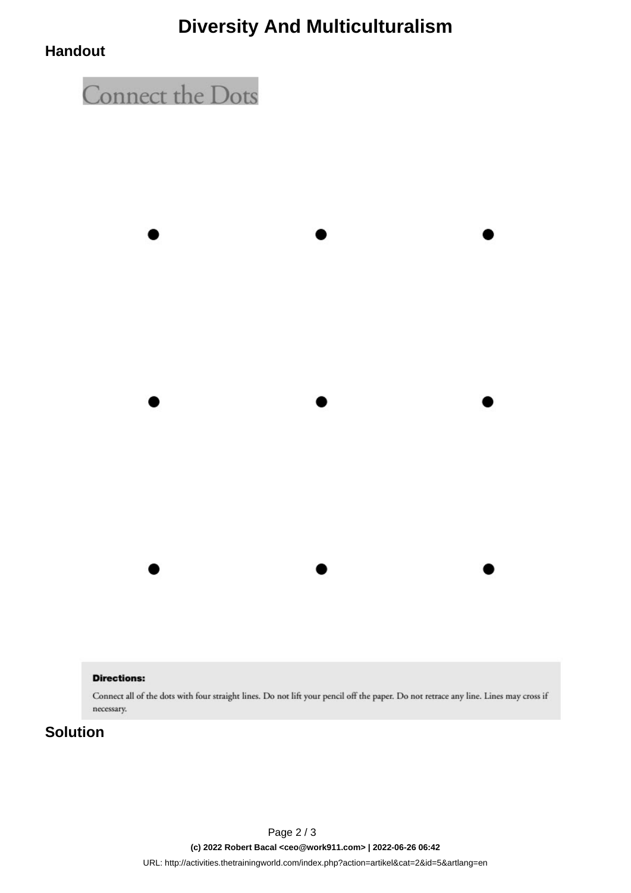## **Diversity And Multiculturalism**

#### **Handout**



#### **Directions:**

Connect all of the dots with four straight lines. Do not lift your pencil off the paper. Do not retrace any line. Lines may cross if necessary.

#### **Solution**